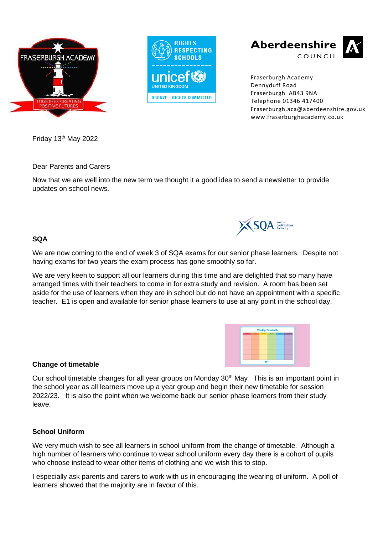



Aberdeenshire COUNCIL



Fraserburgh Academy Dennyduff Road Fraserburgh AB43 9NA Telephone 01346 417400 Fraserburgh.aca@aberdeenshire.gov.uk www.fraserburghacademy.co.uk

Friday 13th May 2022

Dear Parents and Carers

Now that we are well into the new term we thought it a good idea to send a newsletter to provide updates on school news.

## **SQA**

We are now coming to the end of week 3 of SQA exams for our senior phase learners. Despite not having exams for two years the exam process has gone smoothly so far.

We are very keen to support all our learners during this time and are delighted that so many have arranged times with their teachers to come in for extra study and revision. A room has been set aside for the use of learners when they are in school but do not have an appointment with a specific teacher. E1 is open and available for senior phase learners to use at any point in the school day.



### **Change of timetable**

Our school timetable changes for all year groups on Monday 30<sup>th</sup> May This is an important point in the school year as all learners move up a year group and begin their new timetable for session 2022/23. It is also the point when we welcome back our senior phase learners from their study leave.

### **School Uniform**

We very much wish to see all learners in school uniform from the change of timetable. Although a high number of learners who continue to wear school uniform every day there is a cohort of pupils who choose instead to wear other items of clothing and we wish this to stop.

I especially ask parents and carers to work with us in encouraging the wearing of uniform. A poll of learners showed that the majority are in favour of this.

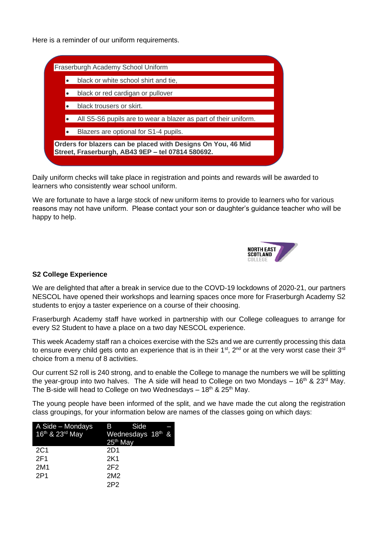Here is a reminder of our uniform requirements.



Daily uniform checks will take place in registration and points and rewards will be awarded to learners who consistently wear school uniform.

We are fortunate to have a large stock of new uniform items to provide to learners who for various reasons may not have uniform. Please contact your son or daughter's guidance teacher who will be happy to help.



# **S2 College Experience**

We are delighted that after a break in service due to the COVD-19 lockdowns of 2020-21, our partners NESCOL have opened their workshops and learning spaces once more for Fraserburgh Academy S2 students to enjoy a taster experience on a course of their choosing.

Fraserburgh Academy staff have worked in partnership with our College colleagues to arrange for every S2 Student to have a place on a two day NESCOL experience.

This week Academy staff ran a choices exercise with the S2s and we are currently processing this data to ensure every child gets onto an experience that is in their  $1<sup>st</sup>$ ,  $2<sup>nd</sup>$  or at the very worst case their  $3<sup>rd</sup>$ choice from a menu of 8 activities.

Our current S2 roll is 240 strong, and to enable the College to manage the numbers we will be splitting the year-group into two halves. The A side will head to College on two Mondays  $-16<sup>th</sup>$  & 23<sup>rd</sup> May. The B-side will head to College on two Wednesdays  $-18<sup>th</sup>$  & 25<sup>th</sup> May.

The young people have been informed of the split, and we have made the cut along the registration class groupings, for your information below are names of the classes going on which days:

| A Side - Mondays | Side<br>B a                   |
|------------------|-------------------------------|
| 16th & 23rd May  | Wednesdays 18 <sup>th</sup> & |
|                  | $25th$ May                    |
| 2C1              | 2D1                           |
| 2F1              | 2K1                           |
| 2M1              | 2F <sub>2</sub>               |
| 2P1              | 2M <sub>2</sub>               |
|                  | 2P <sub>2</sub>               |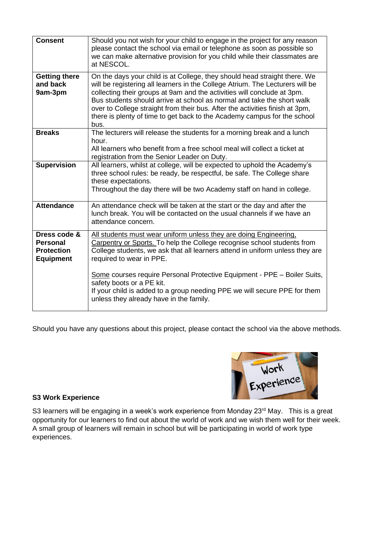| <b>Consent</b>                                                           | Should you not wish for your child to engage in the project for any reason<br>please contact the school via email or telephone as soon as possible so<br>we can make alternative provision for you child while their classmates are<br>at NESCOL.                                                                                                                                                                                                                                   |
|--------------------------------------------------------------------------|-------------------------------------------------------------------------------------------------------------------------------------------------------------------------------------------------------------------------------------------------------------------------------------------------------------------------------------------------------------------------------------------------------------------------------------------------------------------------------------|
| <b>Getting there</b><br>and back<br>9am-3pm                              | On the days your child is at College, they should head straight there. We<br>will be registering all learners in the College Atrium. The Lecturers will be<br>collecting their groups at 9am and the activities will conclude at 3pm.<br>Bus students should arrive at school as normal and take the short walk<br>over to College straight from their bus. After the activities finish at 3pm,<br>there is plenty of time to get back to the Academy campus for the school<br>bus. |
| <b>Breaks</b>                                                            | The lecturers will release the students for a morning break and a lunch<br>hour.<br>All learners who benefit from a free school meal will collect a ticket at<br>registration from the Senior Leader on Duty.                                                                                                                                                                                                                                                                       |
| <b>Supervision</b>                                                       | All learners, whilst at college, will be expected to uphold the Academy's<br>three school rules: be ready, be respectful, be safe. The College share<br>these expectations.<br>Throughout the day there will be two Academy staff on hand in college.                                                                                                                                                                                                                               |
| <b>Attendance</b>                                                        | An attendance check will be taken at the start or the day and after the<br>lunch break. You will be contacted on the usual channels if we have an<br>attendance concern.                                                                                                                                                                                                                                                                                                            |
| Dress code &<br><b>Personal</b><br><b>Protection</b><br><b>Equipment</b> | All students must wear uniform unless they are doing Engineering,<br>Carpentry or Sports. To help the College recognise school students from<br>College students, we ask that all learners attend in uniform unless they are<br>required to wear in PPE.                                                                                                                                                                                                                            |
|                                                                          | Some courses require Personal Protective Equipment - PPE - Boiler Suits,<br>safety boots or a PE kit.<br>If your child is added to a group needing PPE we will secure PPE for them<br>unless they already have in the family.                                                                                                                                                                                                                                                       |

Should you have any questions about this project, please contact the school via the above methods.



### **S3 Work Experience**

S3 learners will be engaging in a week's work experience from Monday 23<sup>rd</sup> May. This is a great opportunity for our learners to find out about the world of work and we wish them well for their week. A small group of learners will remain in school but will be participating in world of work type experiences.